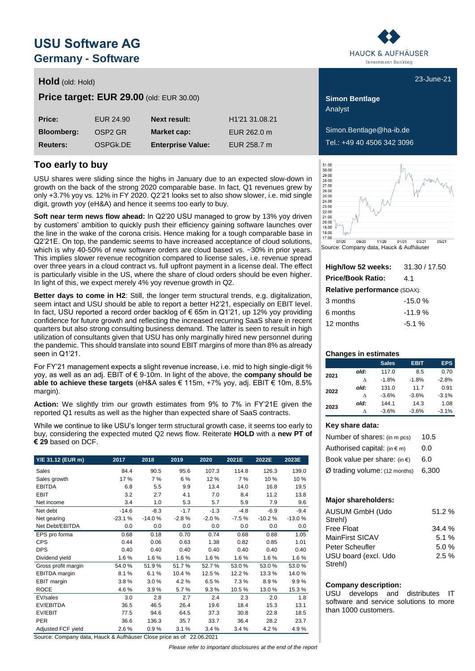# **USU Software AG Germany - Software**

## **Hold** (old: Hold) **Example 21** (old: Hold) **23-June-21**

**Price target: EUR 29.00** (old: EUR 30.00) **Simon Bentlage** 

| Price:            | EUR 24.90           | <b>Next result:</b>      | H <sub>1</sub> '21 31.08.21 |
|-------------------|---------------------|--------------------------|-----------------------------|
| <b>Bloomberg:</b> | OSP <sub>2</sub> GR | Market cap:              | EUR 262.0 m                 |
| <b>Reuters:</b>   | OSPGK.DE            | <b>Enterprise Value:</b> | EUR 258.7 m                 |

## **Too early to buy**

USU shares were sliding since the highs in January due to an expected slow-down in growth on the back of the strong 2020 comparable base. In fact, Q1 revenues grew by only +3.7% yoy vs. 12% in FY 2020. Q2'21 looks set to also show slower, i.e. mid single digit, growth yoy (eH&A) and hence it seems too early to buy.

**Soft near term news flow ahead:** In Q2'20 USU managed to grow by 13% yoy driven by customers' ambition to quickly push their efficiency gaining software launches over the line in the wake of the corona crisis. Hence making for a tough comparable base in Q2'21E. On top, the pandemic seems to have increased acceptance of cloud solutions, which is why 40-50% of new software orders are cloud based vs. ~30% in prior years. This implies slower revenue recognition compared to license sales, i.e. revenue spread over three years in a cloud contract vs. full upfront payment in a license deal. The effect is particularly visible in the US, where the share of cloud orders should be even higher. In light of this, we expect merely 4% yoy revenue growth in Q2.

**Better days to come in H2**: Still, the longer term structural trends, e.g. digitalization, seem intact and USU should be able to report a better H2'21, especially on EBIT level. In fact, USU reported a record order backlog of € 65m in Q1'21, up 12% yoy providing confidence for future growth and reflecting the increased recurring SaaS share in recent quarters but also strong consulting business demand. The latter is seen to result in high utilization of consultants given that USU has only marginally hired new personnel during the pandemic. This should translate into sound EBIT margins of more than 8% as already seen in Q1'21.

For FY'21 management expects a slight revenue increase, i.e. mid to high single-digit % yoy, as well as an adj. EBIT of € 9-10m. In light of the above, the **company should be able to achieve these targets** (eH&A sales € 115m, +7% yoy, adj. EBIT € 10m, 8.5% margin).

**Action:** We slightly trim our growth estimates from 9% to 7% in FY'21E given the reported Q1 results as well as the higher than expected share of SaaS contracts.

While we continue to like USU's longer term structural growth case, it seems too early to buy, considering the expected muted Q2 news flow. Reiterate **HOLD** with a **new PT of € 29** based on DCF.

| Y/E 31.12 (EUR m)   | 2017     | 2018     | 2019    | 2020    | 2021E   | 2022E    | 2023E    |
|---------------------|----------|----------|---------|---------|---------|----------|----------|
| Sales               | 84.4     | 90.5     | 95.6    | 107.3   | 114.8   | 126.3    | 139.0    |
| Sales growth        | 17 %     | 7 %      | 6 %     | 12%     | 7%      | 10%      | 10 %     |
| <b>EBITDA</b>       | 6.8      | 5.5      | 9.9     | 13.4    | 14.0    | 16.8     | 19.5     |
| <b>EBIT</b>         | 3.2      | 2.7      | 4.1     | 7.0     | 8.4     | 11.2     | 13.8     |
| Net income          | 3.4      | 1.0      | 5.3     | 5.7     | 5.9     | 7.9      | 9.6      |
| Net debt            | $-14.6$  | $-8.3$   | $-1.7$  | $-1.3$  | $-4.8$  | $-6.9$   | $-9.4$   |
| Net gearing         | $-23.1%$ | $-14.0%$ | $-2.8%$ | $-2.0%$ | $-7.5%$ | $-10.2%$ | $-13.0%$ |
| Net Debt/EBITDA     | 0.0      | 0.0      | 0.0     | 0.0     | 0.0     | 0.0      | 0.0      |
| EPS pro forma       | 0.68     | 0.18     | 0.70    | 0.74    | 0.68    | 0.88     | 1.05     |
| <b>CPS</b>          | 0.44     | 0.06     | 0.63    | 1.38    | 0.82    | 0.85     | 1.01     |
| <b>DPS</b>          | 0.40     | 0.40     | 0.40    | 0.40    | 0.40    | 0.40     | 0.40     |
| Dividend yield      | 1.6%     | 1.6%     | 1.6%    | 1.6%    | 1.6%    | 1.6%     | 1.6%     |
| Gross profit margin | 54.0%    | 51.9%    | 51.7%   | 52.7%   | 53.0%   | 53.0%    | 53.0%    |
| EBITDA margin       | 8.1%     | 6.1%     | 10.4 %  | 12.5%   | 12.2%   | 13.3%    | 14.0%    |
| EBIT margin         | 3.8%     | 3.0%     | 4.2%    | 6.5%    | 7.3%    | 8.9%     | 9.9%     |
| <b>ROCE</b>         | 4.6%     | 3.9%     | 5.7%    | 9.3%    | 10.5%   | 13.0%    | 15.3%    |
| EV/sales            | 3.0      | 2.8      | 2.7     | 2.4     | 2.3     | 2.0      | 1.8      |
| EV/EBITDA           | 36.5     | 46.5     | 26.4    | 19.6    | 18.4    | 15.3     | 13.1     |
| EV/EBIT             | 77.5     | 94.6     | 64.5    | 37.3    | 30.8    | 22.8     | 18.5     |
| <b>PER</b>          | 36.6     | 136.3    | 35.7    | 33.7    | 36.4    | 28.2     | 23.7     |
| Adjusted FCF yield  | 2.6%     | 0.9%     | 3.1%    | 3.4%    | 3.4%    | 4.2%     | 4.9%     |

Source: Company data, Hauck & Aufhäuser Close price as of: 22.06.2021

*Please refer to important disclosures at the end of the report*



Analyst

 $Simon.$ Bentlage@ha-ib.de Tel.: +49 40 4506 342 3096



Source: Company data, Hauck & Aufhäuser

| High/low 52 weeks:                  | 31.30 / 17.50 |  |  |  |  |  |  |  |
|-------------------------------------|---------------|--|--|--|--|--|--|--|
| <b>Price/Book Ratio:</b>            | 41            |  |  |  |  |  |  |  |
| <b>Relative performance (SDAX):</b> |               |  |  |  |  |  |  |  |
| 3 months                            | $-15.0%$      |  |  |  |  |  |  |  |
| 6 months                            | $-11.9%$      |  |  |  |  |  |  |  |
| 12 months                           | $-5.1%$       |  |  |  |  |  |  |  |
|                                     |               |  |  |  |  |  |  |  |

### **Changes in estimates**

|      |      | <b>Sales</b> | <b>EBIT</b> | <b>EPS</b> |
|------|------|--------------|-------------|------------|
| 2021 | old: | 117.0        | 8.5         | 0.70       |
|      | л    | $-1.8%$      | $-1.8%$     | $-2.8%$    |
| 2022 | old: | 131.0        | 11.7        | 0.91       |
|      | л    | $-3.6%$      | $-3.6%$     | $-3.1%$    |
| 2023 | old: | 144.1        | 14.3        | 1.08       |
|      | Λ    | $-3.6%$      | $-3.6%$     | $-3.1%$    |

### **Key share data:**

| Number of shares: (in m pcs)           | 10.5  |
|----------------------------------------|-------|
| Authorised capital: $(in \in m)$       | 0.0   |
| Book value per share: (in $\epsilon$ ) | 6.0   |
| Ø trading volume: (12 months)          | 6.300 |

### **Major shareholders:**

| AUSUM GmbH (Udo<br>Strehl) | 51.2% |
|----------------------------|-------|
| <b>Free Float</b>          | 34.4% |
| MainFirst SICAV            | 5.1%  |
| Peter Scheufler            | 5.0%  |
| USU board (excl. Udo       | 2.5%  |
| Strehl)                    |       |

### **Company description:**

USU develops and distributes IT software and service solutions to more than 1000 customers.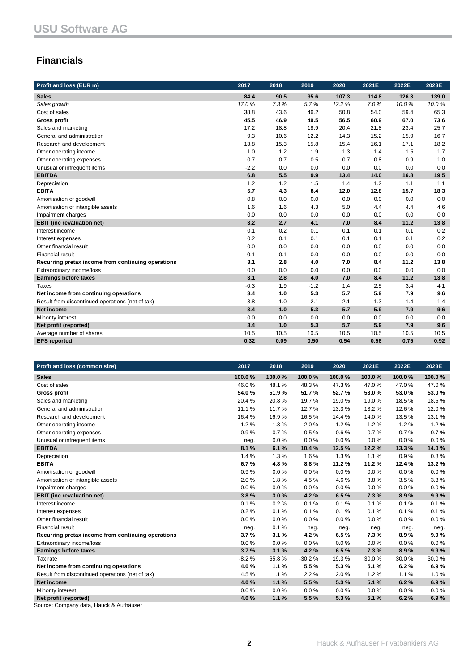## **Financials**

| Profit and loss (EUR m)                            | 2017   | 2018 | 2019   | 2020   | 2021E | 2022E | 2023E |
|----------------------------------------------------|--------|------|--------|--------|-------|-------|-------|
| <b>Sales</b>                                       | 84.4   | 90.5 | 95.6   | 107.3  | 114.8 | 126.3 | 139.0 |
| Sales growth                                       | 17.0%  | 7.3% | 5.7%   | 12.2 % | 7.0%  | 10.0% | 10.0% |
| Cost of sales                                      | 38.8   | 43.6 | 46.2   | 50.8   | 54.0  | 59.4  | 65.3  |
| <b>Gross profit</b>                                | 45.5   | 46.9 | 49.5   | 56.5   | 60.9  | 67.0  | 73.6  |
| Sales and marketing                                | 17.2   | 18.8 | 18.9   | 20.4   | 21.8  | 23.4  | 25.7  |
| General and administration                         | 9.3    | 10.6 | 12.2   | 14.3   | 15.2  | 15.9  | 16.7  |
| Research and development                           | 13.8   | 15.3 | 15.8   | 15.4   | 16.1  | 17.1  | 18.2  |
| Other operating income                             | 1.0    | 1.2  | 1.9    | 1.3    | 1.4   | 1.5   | 1.7   |
| Other operating expenses                           | 0.7    | 0.7  | 0.5    | 0.7    | 0.8   | 0.9   | 1.0   |
| Unusual or infrequent items                        | $-2.2$ | 0.0  | 0.0    | 0.0    | 0.0   | 0.0   | 0.0   |
| <b>EBITDA</b>                                      | 6.8    | 5.5  | 9.9    | 13.4   | 14.0  | 16.8  | 19.5  |
| Depreciation                                       | 1.2    | 1.2  | 1.5    | 1.4    | 1.2   | 1.1   | 1.1   |
| <b>EBITA</b>                                       | 5.7    | 4.3  | 8.4    | 12.0   | 12.8  | 15.7  | 18.3  |
| Amortisation of goodwill                           | 0.8    | 0.0  | 0.0    | 0.0    | 0.0   | 0.0   | 0.0   |
| Amortisation of intangible assets                  | 1.6    | 1.6  | 4.3    | 5.0    | 4.4   | 4.4   | 4.6   |
| Impairment charges                                 | 0.0    | 0.0  | 0.0    | 0.0    | 0.0   | 0.0   | 0.0   |
| <b>EBIT</b> (inc revaluation net)                  | 3.2    | 2.7  | 4.1    | 7.0    | 8.4   | 11.2  | 13.8  |
| Interest income                                    | 0.1    | 0.2  | 0.1    | 0.1    | 0.1   | 0.1   | 0.2   |
| Interest expenses                                  | 0.2    | 0.1  | 0.1    | 0.1    | 0.1   | 0.1   | 0.2   |
| Other financial result                             | 0.0    | 0.0  | 0.0    | 0.0    | 0.0   | 0.0   | 0.0   |
| <b>Financial result</b>                            | $-0.1$ | 0.1  | 0.0    | 0.0    | 0.0   | 0.0   | 0.0   |
| Recurring pretax income from continuing operations | 3.1    | 2.8  | 4.0    | 7.0    | 8.4   | 11.2  | 13.8  |
| Extraordinary income/loss                          | 0.0    | 0.0  | 0.0    | 0.0    | 0.0   | 0.0   | 0.0   |
| <b>Earnings before taxes</b>                       | 3.1    | 2.8  | 4.0    | 7.0    | 8.4   | 11.2  | 13.8  |
| Taxes                                              | $-0.3$ | 1.9  | $-1.2$ | 1.4    | 2.5   | 3.4   | 4.1   |
| Net income from continuing operations              | 3.4    | 1.0  | 5.3    | 5.7    | 5.9   | 7.9   | 9.6   |
| Result from discontinued operations (net of tax)   | 3.8    | 1.0  | 2.1    | 2.1    | 1.3   | 1.4   | 1.4   |
| Net income                                         | 3.4    | 1.0  | 5.3    | 5.7    | 5.9   | 7.9   | 9.6   |
| Minority interest                                  | 0.0    | 0.0  | 0.0    | 0.0    | 0.0   | 0.0   | 0.0   |
| Net profit (reported)                              | 3.4    | 1.0  | 5.3    | 5.7    | 5.9   | 7.9   | 9.6   |
| Average number of shares                           | 10.5   | 10.5 | 10.5   | 10.5   | 10.5  | 10.5  | 10.5  |
| <b>EPS</b> reported                                | 0.32   | 0.09 | 0.50   | 0.54   | 0.56  | 0.75  | 0.92  |

| Profit and loss (common size)                      | 2017    | 2018   | 2019     | 2020   | 2021E  | 2022E  | 2023E   |
|----------------------------------------------------|---------|--------|----------|--------|--------|--------|---------|
| <b>Sales</b>                                       | 100.0%  | 100.0% | 100.0%   | 100.0% | 100.0% | 100.0% | 100.0%  |
| Cost of sales                                      | 46.0%   | 48.1%  | 48.3%    | 47.3%  | 47.0%  | 47.0%  | 47.0%   |
| <b>Gross profit</b>                                | 54.0%   | 51.9%  | 51.7%    | 52.7%  | 53.0%  | 53.0%  | 53.0%   |
| Sales and marketing                                | 20.4%   | 20.8%  | 19.7%    | 19.0%  | 19.0%  | 18.5%  | 18.5%   |
| General and administration                         | 11.1%   | 11.7%  | 12.7%    | 13.3%  | 13.2%  | 12.6%  | 12.0%   |
| Research and development                           | 16.4 %  | 16.9%  | 16.5%    | 14.4 % | 14.0%  | 13.5 % | 13.1 %  |
| Other operating income                             | 1.2%    | 1.3%   | 2.0%     | 1.2%   | 1.2%   | 1.2%   | 1.2%    |
| Other operating expenses                           | 0.9%    | 0.7%   | 0.5%     | 0.6%   | 0.7%   | 0.7%   | 0.7%    |
| Unusual or infrequent items                        | neg.    | 0.0%   | 0.0%     | 0.0%   | 0.0%   | 0.0%   | 0.0%    |
| <b>EBITDA</b>                                      | 8.1%    | 6.1%   | 10.4%    | 12.5%  | 12.2%  | 13.3%  | 14.0%   |
| Depreciation                                       | 1.4%    | 1.3%   | 1.6%     | 1.3%   | 1.1%   | 0.9%   | 0.8%    |
| <b>EBITA</b>                                       | 6.7%    | 4.8%   | 8.8%     | 11.2%  | 11.2%  | 12.4 % | 13.2%   |
| Amortisation of goodwill                           | 0.9%    | 0.0%   | 0.0%     | 0.0%   | 0.0%   | 0.0%   | 0.0%    |
| Amortisation of intangible assets                  | 2.0%    | 1.8%   | 4.5%     | 4.6%   | 3.8%   | 3.5%   | 3.3%    |
| Impairment charges                                 | 0.0%    | 0.0%   | 0.0%     | 0.0%   | 0.0%   | 0.0%   | 0.0%    |
| <b>EBIT</b> (inc revaluation net)                  | 3.8%    | 3.0%   | 4.2%     | 6.5%   | 7.3%   | 8.9%   | 9.9%    |
| Interest income                                    | 0.1%    | 0.2%   | 0.1%     | 0.1%   | 0.1%   | 0.1%   | 0.1%    |
| Interest expenses                                  | 0.2%    | 0.1%   | 0.1%     | 0.1%   | 0.1%   | 0.1%   | 0.1%    |
| Other financial result                             | 0.0%    | 0.0%   | 0.0%     | 0.0%   | 0.0%   | 0.0%   | 0.0%    |
| <b>Financial result</b>                            | neg.    | 0.1%   | neg.     | neg.   | neg.   | neg.   | neg.    |
| Recurring pretax income from continuing operations | 3.7%    | 3.1%   | 4.2%     | 6.5%   | 7.3%   | 8.9%   | 9.9%    |
| Extraordinary income/loss                          | 0.0%    | 0.0%   | 0.0%     | 0.0%   | 0.0%   | 0.0%   | 0.0%    |
| <b>Earnings before taxes</b>                       | 3.7%    | 3.1%   | 4.2%     | 6.5%   | 7.3%   | 8.9%   | 9.9%    |
| Tax rate                                           | $-8.2%$ | 65.8%  | $-30.2%$ | 19.3%  | 30.0%  | 30.0%  | 30.0%   |
| Net income from continuing operations              | 4.0%    | 1.1%   | 5.5%     | 5.3%   | 5.1%   | 6.2%   | 6.9%    |
| Result from discontinued operations (net of tax)   | 4.5%    | 1.1%   | 2.2%     | 2.0%   | 1.2%   | 1.1%   | 1.0%    |
| Net income                                         | 4.0%    | 1.1%   | 5.5%     | 5.3%   | 5.1 %  | 6.2%   | 6.9%    |
| Minority interest                                  | 0.0%    | 0.0%   | 0.0%     | 0.0%   | 0.0%   | 0.0%   | $0.0\%$ |
| Net profit (reported)                              | 4.0%    | 1.1%   | 5.5%     | 5.3%   | 5.1%   | 6.2%   | 6.9%    |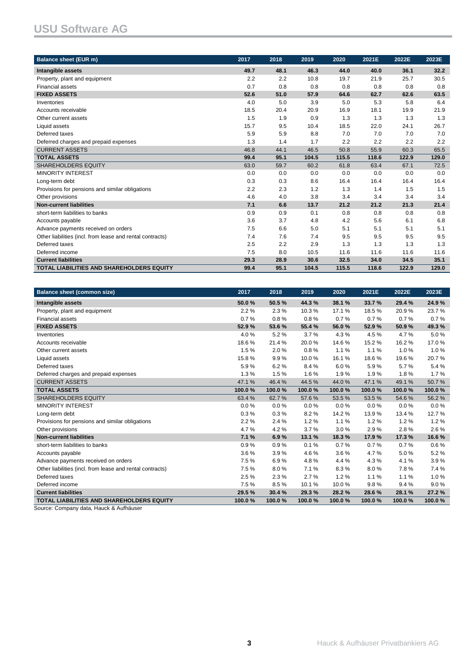# **USU Software AG**

| <b>Balance sheet (EUR m)</b>                              | 2017 | 2018 | 2019  | 2020  | 2021E | 2022E | 2023E |
|-----------------------------------------------------------|------|------|-------|-------|-------|-------|-------|
| Intangible assets                                         | 49.7 | 48.1 | 46.3  | 44.0  | 40.0  | 36.1  | 32.2  |
| Property, plant and equipment                             | 2.2  | 2.2  | 10.8  | 19.7  | 21.9  | 25.7  | 30.5  |
| <b>Financial assets</b>                                   | 0.7  | 0.8  | 0.8   | 0.8   | 0.8   | 0.8   | 0.8   |
| <b>FIXED ASSETS</b>                                       | 52.6 | 51.0 | 57.9  | 64.6  | 62.7  | 62.6  | 63.5  |
| Inventories                                               | 4.0  | 5.0  | 3.9   | 5.0   | 5.3   | 5.8   | 6.4   |
| Accounts receivable                                       | 18.5 | 20.4 | 20.9  | 16.9  | 18.1  | 19.9  | 21.9  |
| Other current assets                                      | 1.5  | 1.9  | 0.9   | 1.3   | 1.3   | 1.3   | 1.3   |
| Liquid assets                                             | 15.7 | 9.5  | 10.4  | 18.5  | 22.0  | 24.1  | 26.7  |
| Deferred taxes                                            | 5.9  | 5.9  | 8.8   | 7.0   | 7.0   | 7.0   | 7.0   |
| Deferred charges and prepaid expenses                     | 1.3  | 1.4  | 1.7   | 2.2   | 2.2   | 2.2   | 2.2   |
| <b>CURRENT ASSETS</b>                                     | 46.8 | 44.1 | 46.5  | 50.8  | 55.9  | 60.3  | 65.5  |
| <b>TOTAL ASSETS</b>                                       | 99.4 | 95.1 | 104.5 | 115.5 | 118.6 | 122.9 | 129.0 |
| <b>SHAREHOLDERS EQUITY</b>                                | 63.0 | 59.7 | 60.2  | 61.8  | 63.4  | 67.1  | 72.5  |
| <b>MINORITY INTEREST</b>                                  | 0.0  | 0.0  | 0.0   | 0.0   | 0.0   | 0.0   | 0.0   |
| Long-term debt                                            | 0.3  | 0.3  | 8.6   | 16.4  | 16.4  | 16.4  | 16.4  |
| Provisions for pensions and similar obligations           | 2.2  | 2.3  | 1.2   | 1.3   | 1.4   | 1.5   | 1.5   |
| Other provisions                                          | 4.6  | 4.0  | 3.8   | 3.4   | 3.4   | 3.4   | 3.4   |
| <b>Non-current liabilities</b>                            | 7.1  | 6.6  | 13.7  | 21.2  | 21.2  | 21.3  | 21.4  |
| short-term liabilities to banks                           | 0.9  | 0.9  | 0.1   | 0.8   | 0.8   | 0.8   | 0.8   |
| Accounts payable                                          | 3.6  | 3.7  | 4.8   | 4.2   | 5.6   | 6.1   | 6.8   |
| Advance payments received on orders                       | 7.5  | 6.6  | 5.0   | 5.1   | 5.1   | 5.1   | 5.1   |
| Other liabilities (incl. from lease and rental contracts) | 7.4  | 7.6  | 7.4   | 9.5   | 9.5   | 9.5   | 9.5   |
| Deferred taxes                                            | 2.5  | 2.2  | 2.9   | 1.3   | 1.3   | 1.3   | 1.3   |
| Deferred income                                           | 7.5  | 8.0  | 10.5  | 11.6  | 11.6  | 11.6  | 11.6  |
| <b>Current liabilities</b>                                | 29.3 | 28.9 | 30.6  | 32.5  | 34.0  | 34.5  | 35.1  |
| <b>TOTAL LIABILITIES AND SHAREHOLDERS EQUITY</b>          | 99.4 | 95.1 | 104.5 | 115.5 | 118.6 | 122.9 | 129.0 |

| <b>Balance sheet (common size)</b>                        | 2017   | 2018   | 2019   | 2020   | 2021E  | 2022E  | 2023E  |
|-----------------------------------------------------------|--------|--------|--------|--------|--------|--------|--------|
| Intangible assets                                         | 50.0%  | 50.5%  | 44.3%  | 38.1 % | 33.7 % | 29.4 % | 24.9%  |
| Property, plant and equipment                             | 2.2%   | 2.3%   | 10.3%  | 17.1%  | 18.5%  | 20.9%  | 23.7%  |
| <b>Financial assets</b>                                   | 0.7%   | 0.8%   | 0.8%   | 0.7%   | 0.7%   | 0.7%   | 0.7%   |
| <b>FIXED ASSETS</b>                                       | 52.9%  | 53.6%  | 55.4 % | 56.0%  | 52.9%  | 50.9%  | 49.3%  |
| Inventories                                               | 4.0%   | 5.2%   | 3.7%   | 4.3%   | 4.5%   | 4.7%   | 5.0%   |
| Accounts receivable                                       | 18.6%  | 21.4%  | 20.0%  | 14.6%  | 15.2%  | 16.2%  | 17.0%  |
| Other current assets                                      | 1.5%   | 2.0%   | 0.8%   | 1.1%   | 1.1%   | 1.0%   | 1.0%   |
| Liquid assets                                             | 15.8%  | 9.9%   | 10.0%  | 16.1%  | 18.6%  | 19.6%  | 20.7%  |
| Deferred taxes                                            | 5.9%   | 6.2%   | 8.4%   | 6.0%   | 5.9%   | 5.7%   | 5.4%   |
| Deferred charges and prepaid expenses                     | 1.3%   | 1.5%   | 1.6%   | 1.9%   | 1.9%   | 1.8%   | 1.7%   |
| <b>CURRENT ASSETS</b>                                     | 47.1%  | 46.4%  | 44.5%  | 44.0%  | 47.1%  | 49.1%  | 50.7%  |
| <b>TOTAL ASSETS</b>                                       | 100.0% | 100.0% | 100.0% | 100.0% | 100.0% | 100.0% | 100.0% |
| <b>SHAREHOLDERS EQUITY</b>                                | 63.4%  | 62.7%  | 57.6%  | 53.5%  | 53.5%  | 54.6%  | 56.2%  |
| <b>MINORITY INTEREST</b>                                  | 0.0%   | 0.0%   | 0.0%   | 0.0%   | 0.0%   | 0.0%   | 0.0%   |
| Long-term debt                                            | 0.3%   | 0.3%   | 8.2%   | 14.2%  | 13.9%  | 13.4 % | 12.7%  |
| Provisions for pensions and similar obligations           | 2.2%   | 2.4%   | 1.2%   | 1.1%   | 1.2%   | 1.2%   | 1.2%   |
| Other provisions                                          | 4.7%   | 4.2%   | 3.7%   | 3.0%   | 2.9%   | 2.8%   | 2.6%   |
| <b>Non-current liabilities</b>                            | 7.1%   | 6.9%   | 13.1 % | 18.3%  | 17.9%  | 17.3%  | 16.6%  |
| short-term liabilities to banks                           | 0.9%   | 0.9%   | 0.1%   | 0.7%   | 0.7%   | 0.7%   | 0.6%   |
| Accounts payable                                          | 3.6%   | 3.9%   | 4.6%   | 3.6%   | 4.7%   | 5.0%   | 5.2%   |
| Advance payments received on orders                       | 7.5%   | 6.9%   | 4.8%   | 4.4%   | 4.3%   | 4.1%   | 3.9%   |
| Other liabilities (incl. from lease and rental contracts) | 7.5%   | 8.0%   | 7.1%   | 8.3%   | 8.0%   | 7.8%   | 7.4%   |
| Deferred taxes                                            | 2.5%   | 2.3%   | 2.7%   | 1.2%   | 1.1%   | 1.1%   | 1.0%   |
| Deferred income                                           | 7.5%   | 8.5%   | 10.1%  | 10.0%  | 9.8%   | 9.4%   | 9.0%   |
| <b>Current liabilities</b>                                | 29.5%  | 30.4 % | 29.3 % | 28.2%  | 28.6%  | 28.1 % | 27.2%  |
| <b>TOTAL LIABILITIES AND SHAREHOLDERS EQUITY</b>          | 100.0% | 100.0% | 100.0% | 100.0% | 100.0% | 100.0% | 100.0% |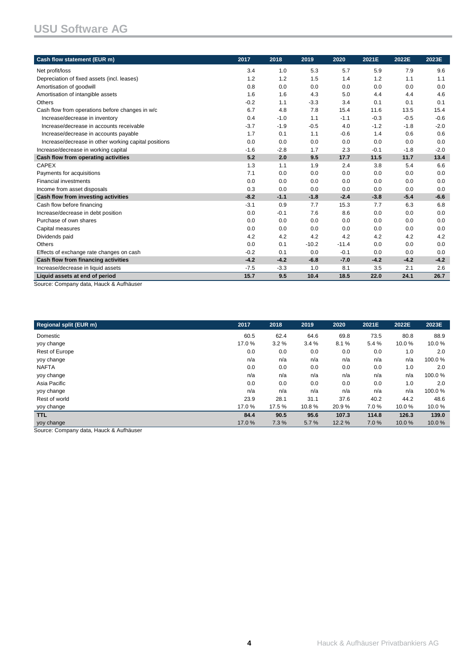| Cash flow statement (EUR m)                                               | 2017   | 2018   | 2019    | 2020    | 2021E  | 2022E  | 2023E  |
|---------------------------------------------------------------------------|--------|--------|---------|---------|--------|--------|--------|
| Net profit/loss                                                           | 3.4    | 1.0    | 5.3     | 5.7     | 5.9    | 7.9    | 9.6    |
| Depreciation of fixed assets (incl. leases)                               | 1.2    | 1.2    | 1.5     | 1.4     | 1.2    | 1.1    | 1.1    |
| Amortisation of goodwill                                                  | 0.8    | 0.0    | 0.0     | 0.0     | 0.0    | 0.0    | 0.0    |
| Amortisation of intangible assets                                         | 1.6    | 1.6    | 4.3     | 5.0     | 4.4    | 4.4    | 4.6    |
| Others                                                                    | $-0.2$ | 1.1    | $-3.3$  | 3.4     | 0.1    | 0.1    | 0.1    |
| Cash flow from operations before changes in w/c                           | 6.7    | 4.8    | 7.8     | 15.4    | 11.6   | 13.5   | 15.4   |
| Increase/decrease in inventory                                            | 0.4    | $-1.0$ | 1.1     | $-1.1$  | $-0.3$ | $-0.5$ | $-0.6$ |
| Increase/decrease in accounts receivable                                  | $-3.7$ | $-1.9$ | $-0.5$  | 4.0     | $-1.2$ | $-1.8$ | $-2.0$ |
| Increase/decrease in accounts payable                                     | 1.7    | 0.1    | 1.1     | $-0.6$  | 1.4    | 0.6    | 0.6    |
| Increase/decrease in other working capital positions                      | 0.0    | 0.0    | 0.0     | 0.0     | 0.0    | 0.0    | 0.0    |
| Increase/decrease in working capital                                      | $-1.6$ | $-2.8$ | 1.7     | 2.3     | $-0.1$ | $-1.8$ | $-2.0$ |
| Cash flow from operating activities                                       | 5.2    | 2.0    | 9.5     | 17.7    | 11.5   | 11.7   | 13.4   |
| <b>CAPEX</b>                                                              | 1.3    | 1.1    | 1.9     | 2.4     | 3.8    | 5.4    | 6.6    |
| Payments for acquisitions                                                 | 7.1    | 0.0    | 0.0     | 0.0     | 0.0    | 0.0    | 0.0    |
| <b>Financial investments</b>                                              | 0.0    | 0.0    | 0.0     | 0.0     | 0.0    | 0.0    | 0.0    |
| Income from asset disposals                                               | 0.3    | 0.0    | 0.0     | 0.0     | 0.0    | 0.0    | 0.0    |
| Cash flow from investing activities                                       | $-8.2$ | $-1.1$ | $-1.8$  | $-2.4$  | $-3.8$ | $-5.4$ | $-6.6$ |
| Cash flow before financing                                                | $-3.1$ | 0.9    | 7.7     | 15.3    | 7.7    | 6.3    | 6.8    |
| Increase/decrease in debt position                                        | 0.0    | $-0.1$ | 7.6     | 8.6     | 0.0    | 0.0    | 0.0    |
| Purchase of own shares                                                    | 0.0    | 0.0    | 0.0     | 0.0     | 0.0    | 0.0    | 0.0    |
| Capital measures                                                          | 0.0    | 0.0    | 0.0     | 0.0     | 0.0    | 0.0    | 0.0    |
| Dividends paid                                                            | 4.2    | 4.2    | 4.2     | 4.2     | 4.2    | 4.2    | 4.2    |
| <b>Others</b>                                                             | 0.0    | 0.1    | $-10.2$ | $-11.4$ | 0.0    | 0.0    | 0.0    |
| Effects of exchange rate changes on cash                                  | $-0.2$ | 0.1    | 0.0     | $-0.1$  | 0.0    | 0.0    | 0.0    |
| Cash flow from financing activities                                       | $-4.2$ | $-4.2$ | $-6.8$  | $-7.0$  | $-4.2$ | $-4.2$ | $-4.2$ |
| Increase/decrease in liquid assets                                        | $-7.5$ | $-3.3$ | 1.0     | 8.1     | 3.5    | 2.1    | 2.6    |
| Liquid assets at end of period<br>Source: Company data, Houck & Aufbäuser | 15.7   | 9.5    | 10.4    | 18.5    | 22.0   | 24.1   | 26.7   |

Source: Company data, Hauck & Aufhäuser

| 2017  | 2018   | 2019  | 2020  | 2021E | 2022E | 2023E  |
|-------|--------|-------|-------|-------|-------|--------|
| 60.5  | 62.4   | 64.6  | 69.8  | 73.5  | 80.8  | 88.9   |
| 17.0% | 3.2%   | 3.4%  | 8.1%  | 5.4%  | 10.0% | 10.0%  |
| 0.0   | 0.0    | 0.0   | 0.0   | 0.0   | 1.0   | 2.0    |
| n/a   | n/a    | n/a   | n/a   | n/a   | n/a   | 100.0% |
| 0.0   | 0.0    | 0.0   | 0.0   | 0.0   | 1.0   | 2.0    |
| n/a   | n/a    | n/a   | n/a   | n/a   | n/a   | 100.0% |
| 0.0   | 0.0    | 0.0   | 0.0   | 0.0   | 1.0   | 2.0    |
| n/a   | n/a    | n/a   | n/a   | n/a   | n/a   | 100.0% |
| 23.9  | 28.1   | 31.1  | 37.6  | 40.2  | 44.2  | 48.6   |
| 17.0% | 17.5 % | 10.8% | 20.9% | 7.0%  | 10.0% | 10.0%  |
| 84.4  | 90.5   | 95.6  | 107.3 | 114.8 | 126.3 | 139.0  |
| 17.0% | 7.3%   | 5.7%  | 12.2% | 7.0%  | 10.0% | 10.0%  |
|       |        |       |       |       |       |        |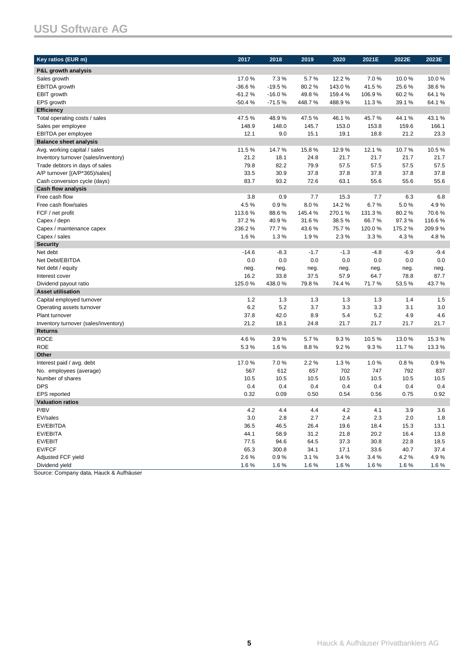# **USU Software AG**

| Key ratios (EUR m)                   | 2017         | 2018          | 2019         | 2020          | 2021E        | 2022E        | 2023E        |
|--------------------------------------|--------------|---------------|--------------|---------------|--------------|--------------|--------------|
| P&L growth analysis                  |              |               |              |               |              |              |              |
| Sales growth                         | 17.0%        | 7.3%          | 5.7%         | 12.2%         | 7.0%         | 10.0%        | 10.0%        |
| EBITDA growth                        | $-36.6%$     | $-19.5%$      | 80.2%        | 143.0%        | 41.5%        | 25.6%        | 38.6%        |
| EBIT growth                          | $-61.2%$     | $-16.0%$      | 49.8%        | 159.4%        | 106.9%       | 60.2%        | 64.1%        |
| EPS growth                           | $-50.4%$     | $-71.5%$      | 448.7%       | 488.9%        | 11.3%        | 39.1%        | 64.1%        |
| <b>Efficiency</b>                    |              |               |              |               |              |              |              |
| Total operating costs / sales        | 47.5%        | 48.9%         | 47.5%        | 46.1%         | 45.7%        | 44.1%        | 43.1%        |
| Sales per employee                   | 148.9        | 148.0         | 145.7        | 153.0         | 153.8        | 159.6        | 166.1        |
| EBITDA per employee                  | 12.1         | 9.0           | 15.1         | 19.1          | 18.8         | 21.2         | 23.3         |
| <b>Balance sheet analysis</b>        |              |               |              |               |              |              |              |
| Avg. working capital / sales         | 11.5%        | 14.7%         | 15.8%        | 12.9%         | 12.1%        | 10.7%        | 10.5%        |
| Inventory turnover (sales/inventory) | 21.2         | 18.1          | 24.8         | 21.7          | 21.7         | 21.7         | 21.7         |
| Trade debtors in days of sales       | 79.8         | 82.2          | 79.9         | 57.5          | 57.5         | 57.5         | 57.5         |
| A/P turnover [(A/P*365)/sales]       | 33.5         | 30.9          | 37.8         | 37.8          | 37.8         | 37.8         | 37.8         |
| Cash conversion cycle (days)         | 83.7         | 93.2          | 72.6         | 63.1          | 55.6         | 55.6         | 55.6         |
| <b>Cash flow analysis</b>            |              |               |              |               |              |              |              |
| Free cash flow                       | 3.8          | 0.9           | 7.7          | 15.3          | 7.7          | 6.3          | 6.8          |
| Free cash flow/sales                 | 4.5%         | 0.9%          | 8.0%         | 14.2%         | 6.7%         | 5.0%         | 4.9%         |
| FCF / net profit                     | 113.6%       | 88.6%         | 145.4%       | 270.1%        | 131.3%       | 80.2%        | 70.6%        |
| Capex / depn                         | 37.2%        | 40.9%         | 31.6%        | 38.5%         | 66.7%        | 97.3%        | 116.6%       |
| Capex / maintenance capex            | 236.2%       | 77.7%         | 43.6%        | 75.7%         | 120.0%       | 175.2%       | 209.9%       |
| Capex / sales                        | 1.6%         | 1.3%          | 1.9%         | 2.3%          | 3.3%         | 4.3%         | 4.8%         |
| <b>Security</b>                      |              |               |              |               |              |              |              |
| Net debt                             | $-14.6$      | $-8.3$        | $-1.7$       | $-1.3$        | $-4.8$       | $-6.9$       | $-9.4$       |
| Net Debt/EBITDA                      | 0.0          | 0.0           | 0.0          | 0.0           | 0.0          | 0.0          | 0.0          |
| Net debt / equity                    | neg.         | neg.          | neg.         | neg.          | neg.         | neg.         | neg.         |
| Interest cover                       | 16.2         | 33.8          | 37.5         | 57.9          | 64.7         | 78.8         | 87.7         |
| Dividend payout ratio                | 125.0%       | 438.0%        | 79.8%        | 74.4%         | 71.7%        | 53.5%        | 43.7%        |
| <b>Asset utilisation</b>             |              |               |              |               |              |              |              |
| Capital employed turnover            | 1.2          | 1.3           | 1.3          | 1.3           | 1.3          | 1.4          | 1.5          |
| Operating assets turnover            | 6.2          | 5.2           | 3.7          | 3.3           | 3.3          | 3.1          | 3.0          |
| Plant turnover                       | 37.8         | 42.0          | 8.9          | 5.4           | 5.2          | 4.9          | 4.6          |
| Inventory turnover (sales/inventory) | 21.2         | 18.1          | 24.8         | 21.7          | 21.7         | 21.7         | 21.7         |
| <b>Returns</b>                       |              |               |              |               |              |              |              |
| <b>ROCE</b>                          | 4.6%         | 3.9%          | 5.7%         | 9.3%          | 10.5%        | 13.0%        | 15.3%        |
| <b>ROE</b>                           | 5.3%         | 1.6%          | 8.8%         | 9.2%          | 9.3%         | 11.7%        | 13.3%        |
| Other                                |              |               |              |               |              |              |              |
| Interest paid / avg. debt            | 17.0%        | 7.0%          | 2.2%         | 1.3%          | 1.0%         | 0.8%         | 0.9%         |
| No. employees (average)              | 567          | 612           | 657          | 702           | 747          | 792          | 837          |
| Number of shares                     | 10.5         | 10.5          | 10.5         | 10.5          | 10.5         | 10.5         | 10.5         |
| <b>DPS</b>                           | 0.4          | 0.4           | 0.4          | 0.4           | 0.4          | 0.4          | 0.4          |
| <b>EPS</b> reported                  | 0.32         | 0.09          | 0.50         | 0.54          | 0.56         | 0.75         | 0.92         |
| <b>Valuation ratios</b>              |              |               |              |               |              |              |              |
| P/BV                                 | 4.2          | 4.4           | 4.4          | 4.2           | 4.1          | 3.9          | 3.6          |
| EV/sales                             | 3.0          | 2.8           | 2.7          | 2.4           | 2.3          | 2.0          | 1.8          |
| EV/EBITDA                            | 36.5         | 46.5          | 26.4         | 19.6          | 18.4         | 15.3         | 13.1         |
| EV/EBITA                             | 44.1         | 58.9          | 31.2         | 21.8          | 20.2         | 16.4         | 13.8         |
| EV/EBIT<br>EV/FCF                    | 77.5<br>65.3 | 94.6          | 64.5         | 37.3          | 30.8<br>33.6 | 22.8<br>40.7 | 18.5<br>37.4 |
| Adjusted FCF yield                   | 2.6%         | 300.8<br>0.9% | 34.1<br>3.1% | 17.1<br>3.4 % | 3.4%         | 4.2%         | 4.9%         |
| Dividend yield                       | 1.6%         | 1.6%          | 1.6%         | 1.6%          | 1.6%         | 1.6%         | 1.6%         |
|                                      |              |               |              |               |              |              |              |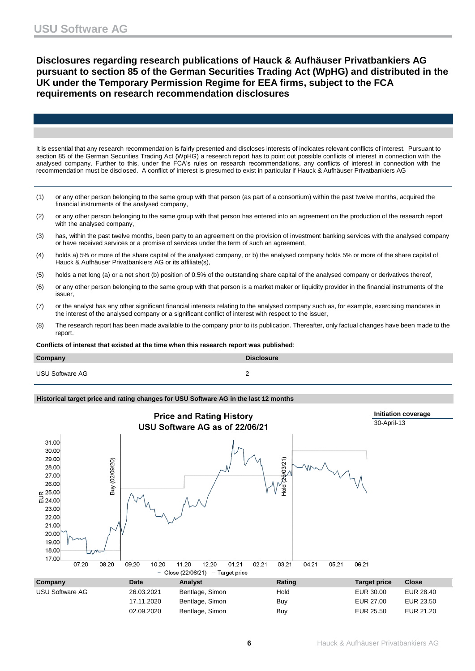**Disclosures regarding research publications of Hauck & Aufhäuser Privatbankiers AG pursuant to section 85 of the German Securities Trading Act (WpHG) and distributed in the UK under the Temporary Permission Regime for EEA firms, subject to the FCA requirements on research recommendation disclosures**

It is essential that any research recommendation is fairly presented and discloses interests of indicates relevant conflicts of interest. Pursuant to section 85 of the German Securities Trading Act (WpHG) a research report has to point out possible conflicts of interest in connection with the analysed company. Further to this, under the FCA's rules on research recommendations, any conflicts of interest in connection with the recommendation must be disclosed. A conflict of interest is presumed to exist in particular if Hauck & Aufhäuser Privatbankiers AG

- (1) or any other person belonging to the same group with that person (as part of a consortium) within the past twelve months, acquired the financial instruments of the analysed company,
- (2) or any other person belonging to the same group with that person has entered into an agreement on the production of the research report with the analysed company,
- (3) has, within the past twelve months, been party to an agreement on the provision of investment banking services with the analysed company or have received services or a promise of services under the term of such an agreement,
- (4) holds a) 5% or more of the share capital of the analysed company, or b) the analysed company holds 5% or more of the share capital of Hauck & Aufhäuser Privatbankiers AG or its affiliate(s),
- (5) holds a net long (a) or a net short (b) position of 0.5% of the outstanding share capital of the analysed company or derivatives thereof,
- (6) or any other person belonging to the same group with that person is a market maker or liquidity provider in the financial instruments of the issuer,
- (7) or the analyst has any other significant financial interests relating to the analysed company such as, for example, exercising mandates in the interest of the analysed company or a significant conflict of interest with respect to the issuer,
- (8) The research report has been made available to the company prior to its publication. Thereafter, only factual changes have been made to the report.

**Conflicts of interest that existed at the time when this research report was published**:

| Company                | <b>Disclosure</b> |
|------------------------|-------------------|
| <b>USU Software AG</b> |                   |

### **Historical target price and rating changes for USU Software AG in the last 12 months**

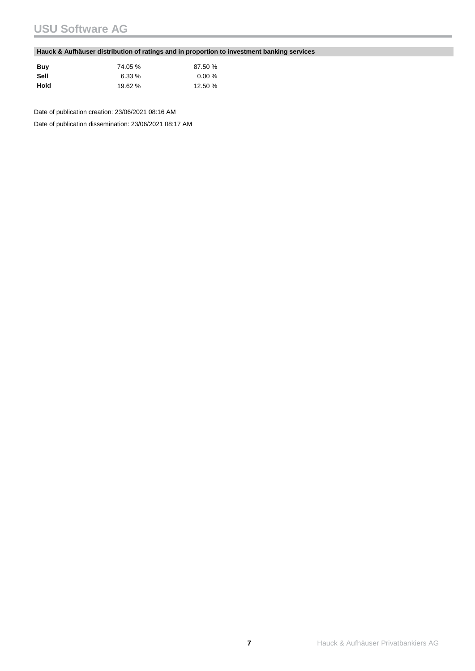# **USU Software AG**

### **Hauck & Aufhäuser distribution of ratings and in proportion to investment banking services**

| Buv  | 74.05 %  | 87.50 %   |
|------|----------|-----------|
| Sell | $6.33\%$ | $0.00 \%$ |
| Hold | 19.62 %  | 12.50 %   |

Date of publication creation: 23/06/2021 08:16 AM

Date of publication dissemination: 23/06/2021 08:17 AM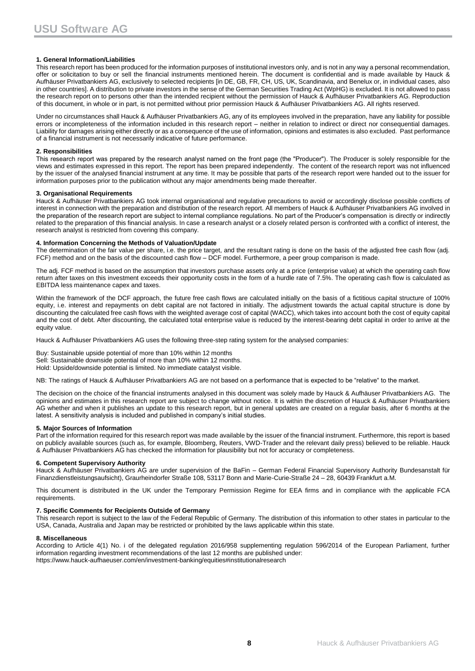#### **1. General Information/Liabilities**

This research report has been produced for the information purposes of institutional investors only, and is not in any way a personal recommendation, offer or solicitation to buy or sell the financial instruments mentioned herein. The document is confidential and is made available by Hauck & Aufhäuser Privatbankiers AG, exclusively to selected recipients [in DE, GB, FR, CH, US, UK, Scandinavia, and Benelux or, in individual cases, also in other countries]. A distribution to private investors in the sense of the German Securities Trading Act (WpHG) is excluded. It is not allowed to pass the research report on to persons other than the intended recipient without the permission of Hauck & Aufhäuser Privatbankiers AG. Reproduction of this document, in whole or in part, is not permitted without prior permission Hauck & Aufhäuser Privatbankiers AG. All rights reserved.

Under no circumstances shall Hauck & Aufhäuser Privatbankiers AG, any of its employees involved in the preparation, have any liability for possible errors or incompleteness of the information included in this research report – neither in relation to indirect or direct nor consequential damages. Liability for damages arising either directly or as a consequence of the use of information, opinions and estimates is also excluded. Past performance of a financial instrument is not necessarily indicative of future performance.

#### **2. Responsibilities**

This research report was prepared by the research analyst named on the front page (the "Producer"). The Producer is solely responsible for the views and estimates expressed in this report. The report has been prepared independently. The content of the research report was not influenced by the issuer of the analysed financial instrument at any time. It may be possible that parts of the research report were handed out to the issuer for information purposes prior to the publication without any major amendments being made thereafter.

#### **3. Organisational Requirements**

Hauck & Aufhäuser Privatbankiers AG took internal organisational and regulative precautions to avoid or accordingly disclose possible conflicts of interest in connection with the preparation and distribution of the research report. All members of Hauck & Aufhäuser Privatbankiers AG involved in the preparation of the research report are subject to internal compliance regulations. No part of the Producer's compensation is directly or indirectly related to the preparation of this financial analysis. In case a research analyst or a closely related person is confronted with a conflict of interest, the research analyst is restricted from covering this company.

#### **4. Information Concerning the Methods of Valuation/Update**

The determination of the fair value per share, i.e. the price target, and the resultant rating is done on the basis of the adjusted free cash flow (adj. FCF) method and on the basis of the discounted cash flow – DCF model. Furthermore, a peer group comparison is made.

The adj. FCF method is based on the assumption that investors purchase assets only at a price (enterprise value) at which the operating cash flow return after taxes on this investment exceeds their opportunity costs in the form of a hurdle rate of 7.5%. The operating cash flow is calculated as EBITDA less maintenance capex and taxes.

Within the framework of the DCF approach, the future free cash flows are calculated initially on the basis of a fictitious capital structure of 100% equity, i.e. interest and repayments on debt capital are not factored in initially. The adjustment towards the actual capital structure is done by discounting the calculated free cash flows with the weighted average cost of capital (WACC), which takes into account both the cost of equity capital and the cost of debt. After discounting, the calculated total enterprise value is reduced by the interest-bearing debt capital in order to arrive at the equity value.

Hauck & Aufhäuser Privatbankiers AG uses the following three-step rating system for the analysed companies:

Buy: Sustainable upside potential of more than 10% within 12 months Sell: Sustainable downside potential of more than 10% within 12 months. Hold: Upside/downside potential is limited. No immediate catalyst visible.

NB: The ratings of Hauck & Aufhäuser Privatbankiers AG are not based on a performance that is expected to be "relative" to the market.

The decision on the choice of the financial instruments analysed in this document was solely made by Hauck & Aufhäuser Privatbankiers AG. The opinions and estimates in this research report are subject to change without notice. It is within the discretion of Hauck & Aufhäuser Privatbankiers AG whether and when it publishes an update to this research report, but in general updates are created on a regular basis, after 6 months at the latest. A sensitivity analysis is included and published in company's initial studies.

#### **5. Major Sources of Information**

Part of the information required for this research report was made available by the issuer of the financial instrument. Furthermore, this report is based on publicly available sources (such as, for example, Bloomberg, Reuters, VWD-Trader and the relevant daily press) believed to be reliable. Hauck & Aufhäuser Privatbankiers AG has checked the information for plausibility but not for accuracy or completeness.

#### **6. Competent Supervisory Authority**

Hauck & Aufhäuser Privatbankiers AG are under supervision of the BaFin – German Federal Financial Supervisory Authority Bundesanstalt für Finanzdienstleistungsaufsicht), Graurheindorfer Straße 108, 53117 Bonn and Marie-Curie-Straße 24 – 28, 60439 Frankfurt a.M.

This document is distributed in the UK under the Temporary Permission Regime for EEA firms and in compliance with the applicable FCA requirements.

#### **7. Specific Comments for Recipients Outside of Germany**

This research report is subject to the law of the Federal Republic of Germany. The distribution of this information to other states in particular to the USA, Canada, Australia and Japan may be restricted or prohibited by the laws applicable within this state.

#### **8. Miscellaneous**

According to Article 4(1) No. i of the delegated regulation 2016/958 supplementing regulation 596/2014 of the European Parliament, further information regarding investment recommendations of the last 12 months are published under: https://www.hauck-aufhaeuser.com/en/investment-banking/equities#institutionalresearch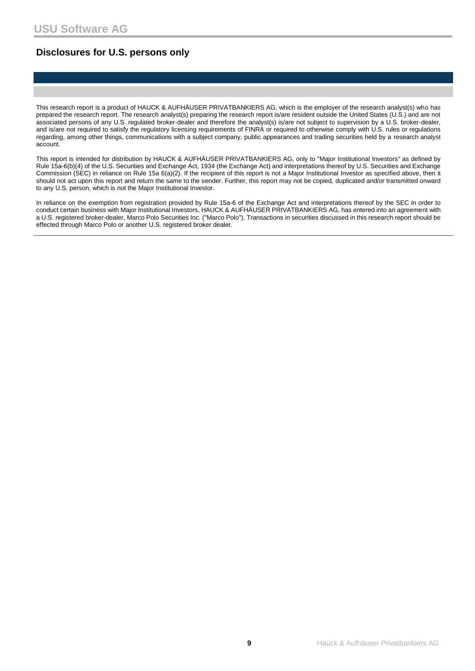## **Disclosures for U.S. persons only**

This research report is a product of HAUCK & AUFHÄUSER PRIVATBANKIERS AG, which is the employer of the research analyst(s) who has prepared the research report. The research analyst(s) preparing the research report is/are resident outside the United States (U.S.) and are not associated persons of any U.S. regulated broker-dealer and therefore the analyst(s) is/are not subject to supervision by a U.S. broker-dealer, and is/are not required to satisfy the regulatory licensing requirements of FINRA or required to otherwise comply with U.S. rules or regulations regarding, among other things, communications with a subject company, public appearances and trading securities held by a research analyst account.

This report is intended for distribution by HAUCK & AUFHÄUSER PRIVATBANKIERS AG, only to "Major Institutional Investors" as defined by Rule 15a-6(b)(4) of the U.S. Securities and Exchange Act, 1934 (the Exchange Act) and interpretations thereof by U.S. Securities and Exchange Commission (SEC) in reliance on Rule 15a 6(a)(2). If the recipient of this report is not a Major Institutional Investor as specified above, then it should not act upon this report and return the same to the sender. Further, this report may not be copied, duplicated and/or transmitted onward to any U.S. person, which is not the Major Institutional Investor.

In reliance on the exemption from registration provided by Rule 15a-6 of the Exchange Act and interpretations thereof by the SEC in order to conduct certain business with Major Institutional Investors, HAUCK & AUFHÄUSER PRIVATBANKIERS AG, has entered into an agreement with a U.S. registered broker-dealer, Marco Polo Securities Inc. ("Marco Polo"). Transactions in securities discussed in this research report should be effected through Marco Polo or another U.S. registered broker dealer.